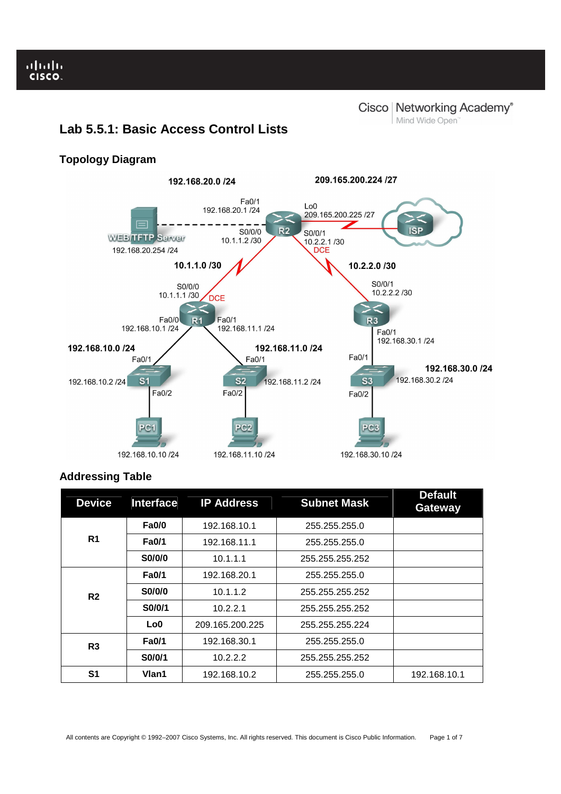Ï

# **Lab 5.5.1: Basic Access Control Lists**

# **Topology Diagram**



# **Addressing Table**

| <b>Device</b>  | <b>Interface</b> | <b>IP Address</b> | <b>Subnet Mask</b> | <b>Default</b><br>Gateway |
|----------------|------------------|-------------------|--------------------|---------------------------|
| R <sub>1</sub> | <b>Fa0/0</b>     | 192.168.10.1      | 255.255.255.0      |                           |
|                | <b>Fa0/1</b>     | 192.168.11.1      | 255.255.255.0      |                           |
|                | S0/0/0           | 10.1.1.1          | 255.255.255.252    |                           |
| R <sub>2</sub> | <b>Fa0/1</b>     | 192.168.20.1      | 255.255.255.0      |                           |
|                | S0/0/0           | 10.1.1.2          | 255.255.255.252    |                           |
|                | S0/0/1           | 10.2.2.1          | 255.255.255.252    |                           |
|                | Lo0              | 209.165.200.225   | 255.255.255.224    |                           |
| R3             | <b>Fa0/1</b>     | 192.168.30.1      | 255.255.255.0      |                           |
|                | S0/0/1           | 10.2.2.2          | 255.255.255.252    |                           |
| S1             | Vlan1            | 192.168.10.2      | 255.255.255.0      | 192.168.10.1              |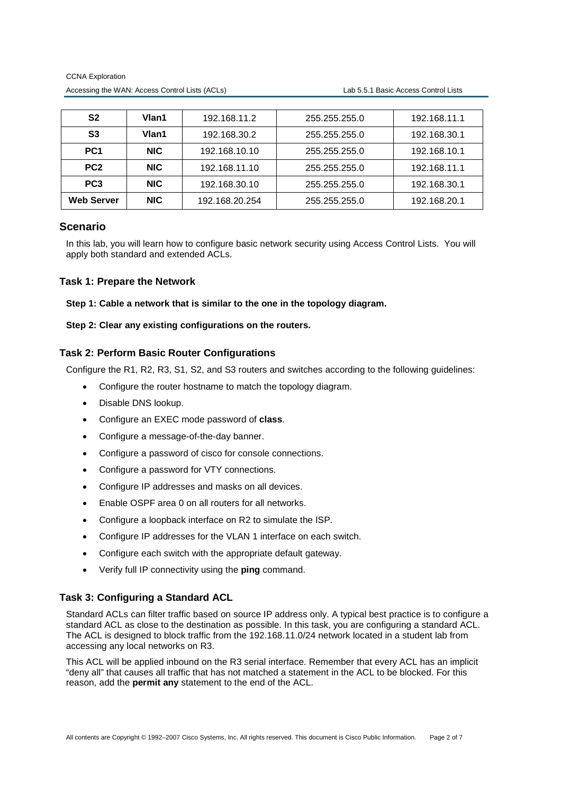| S2                | Vlan1      | 192.168.11.2   | 255.255.255.0 | 192.168.11.1 |
|-------------------|------------|----------------|---------------|--------------|
| S3                | Vlan1      | 192.168.30.2   | 255.255.255.0 | 192.168.30.1 |
| PC <sub>1</sub>   | NIC.       | 192.168.10.10  | 255.255.255.0 | 192.168.10.1 |
| PC <sub>2</sub>   | <b>NIC</b> | 192.168.11.10  | 255.255.255.0 | 192.168.11.1 |
| PC <sub>3</sub>   | <b>NIC</b> | 192.168.30.10  | 255.255.255.0 | 192.168.30.1 |
| <b>Web Server</b> | <b>NIC</b> | 192.168.20.254 | 255.255.255.0 | 192.168.20.1 |

# **Scenario**

In this lab, you will learn how to configure basic network security using Access Control Lists. You will apply both standard and extended ACLs.

# **Task 1: Prepare the Network**

**Step 1: Cable a network that is similar to the one in the topology diagram.** 

**Step 2: Clear any existing configurations on the routers.** 

# **Task 2: Perform Basic Router Configurations**

Configure the R1, R2, R3, S1, S2, and S3 routers and switches according to the following guidelines:

- Configure the router hostname to match the topology diagram.
- Disable DNS lookup.
- Configure an EXEC mode password of **class**.
- Configure a message-of-the-day banner.
- Configure a password of cisco for console connections.
- Configure a password for VTY connections.
- Configure IP addresses and masks on all devices.
- Enable OSPF area 0 on all routers for all networks.
- Configure a loopback interface on R2 to simulate the ISP.
- Configure IP addresses for the VLAN 1 interface on each switch.
- Configure each switch with the appropriate default gateway.
- Verify full IP connectivity using the **ping** command.

# **Task 3: Configuring a Standard ACL**

Standard ACLs can filter traffic based on source IP address only. A typical best practice is to configure a standard ACL as close to the destination as possible. In this task, you are configuring a standard ACL. The ACL is designed to block traffic from the 192.168.11.0/24 network located in a student lab from accessing any local networks on R3.

This ACL will be applied inbound on the R3 serial interface. Remember that every ACL has an implicit "deny all" that causes all traffic that has not matched a statement in the ACL to be blocked. For this reason, add the **permit any** statement to the end of the ACL.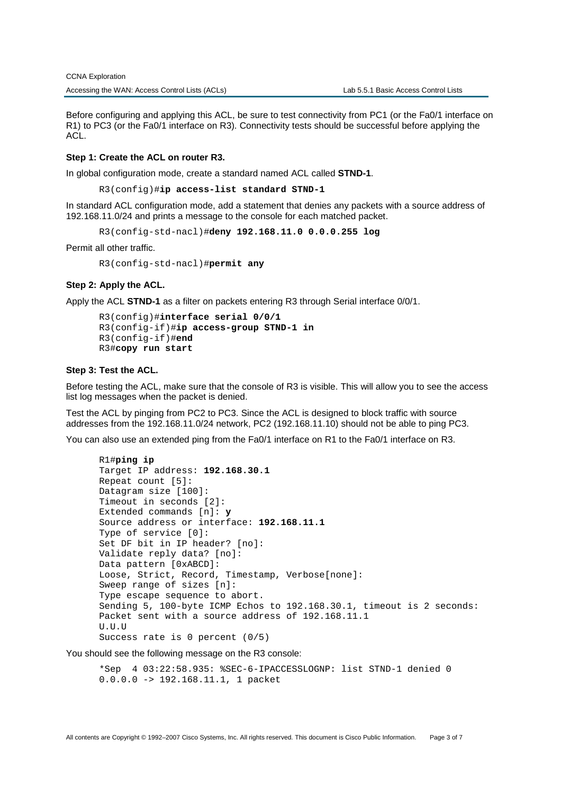Before configuring and applying this ACL, be sure to test connectivity from PC1 (or the Fa0/1 interface on R1) to PC3 (or the Fa0/1 interface on R3). Connectivity tests should be successful before applying the ACL.

#### **Step 1: Create the ACL on router R3.**

In global configuration mode, create a standard named ACL called **STND-1**.

R3(config)#**ip access-list standard STND-1** 

In standard ACL configuration mode, add a statement that denies any packets with a source address of 192.168.11.0/24 and prints a message to the console for each matched packet.

R3(config-std-nacl)#**deny 192.168.11.0 0.0.0.255 log** 

Permit all other traffic.

R3(config-std-nacl)#**permit any** 

#### **Step 2: Apply the ACL.**

Apply the ACL **STND-1** as a filter on packets entering R3 through Serial interface 0/0/1.

```
R3(config)#interface serial 0/0/1 
R3(config-if)#ip access-group STND-1 in 
R3(config-if)#end 
R3#copy run start
```
## **Step 3: Test the ACL.**

Before testing the ACL, make sure that the console of R3 is visible. This will allow you to see the access list log messages when the packet is denied.

Test the ACL by pinging from PC2 to PC3. Since the ACL is designed to block traffic with source addresses from the 192.168.11.0/24 network, PC2 (192.168.11.10) should not be able to ping PC3.

You can also use an extended ping from the Fa0/1 interface on R1 to the Fa0/1 interface on R3.

```
R1#ping ip 
Target IP address: 192.168.30.1 
Repeat count [5]: 
Datagram size [100]: 
Timeout in seconds [2]: 
Extended commands [n]: y 
Source address or interface: 192.168.11.1
Type of service [0]: 
Set DF bit in IP header? [no]: 
Validate reply data? [no]: 
Data pattern [0xABCD]: 
Loose, Strict, Record, Timestamp, Verbose[none]: 
Sweep range of sizes [n]: 
Type escape sequence to abort. 
Sending 5, 100-byte ICMP Echos to 192.168.30.1, timeout is 2 seconds: 
Packet sent with a source address of 192.168.11.1 
U.U.U 
Success rate is 0 percent (0/5)
```
You should see the following message on the R3 console:

\*Sep 4 03:22:58.935: %SEC-6-IPACCESSLOGNP: list STND-1 denied 0 0.0.0.0 -> 192.168.11.1, 1 packet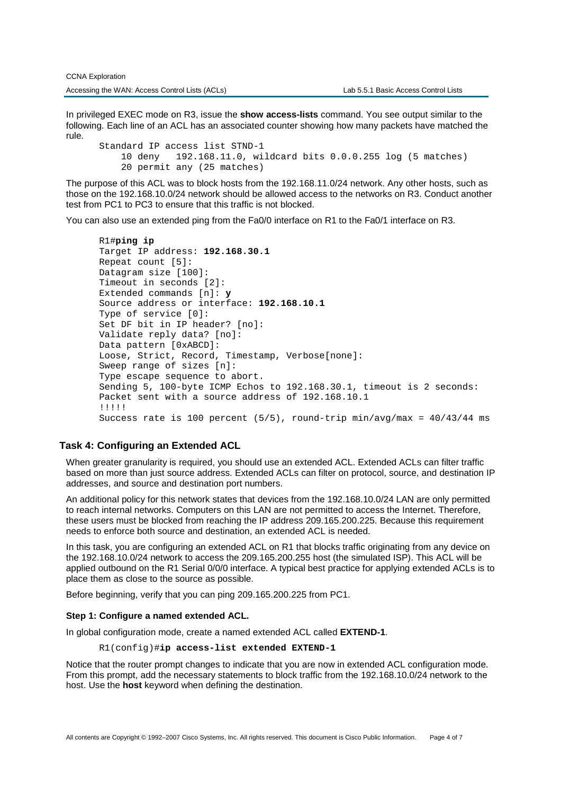In privileged EXEC mode on R3, issue the **show access-lists** command. You see output similar to the following. Each line of an ACL has an associated counter showing how many packets have matched the rule.

Standard IP access list STND-1 10 deny 192.168.11.0, wildcard bits 0.0.0.255 log (5 matches) 20 permit any (25 matches)

The purpose of this ACL was to block hosts from the 192.168.11.0/24 network. Any other hosts, such as those on the 192.168.10.0/24 network should be allowed access to the networks on R3. Conduct another test from PC1 to PC3 to ensure that this traffic is not blocked.

You can also use an extended ping from the Fa0/0 interface on R1 to the Fa0/1 interface on R3.

```
R1#ping ip 
Target IP address: 192.168.30.1 
Repeat count [5]: 
Datagram size [100]: 
Timeout in seconds [2]: 
Extended commands [n]: y 
Source address or interface: 192.168.10.1
Type of service [0]: 
Set DF bit in IP header? [no]: 
Validate reply data? [no]: 
Data pattern [0xABCD]: 
Loose, Strict, Record, Timestamp, Verbose[none]: 
Sweep range of sizes [n]: 
Type escape sequence to abort. 
Sending 5, 100-byte ICMP Echos to 192.168.30.1, timeout is 2 seconds: 
Packet sent with a source address of 192.168.10.1 
!!!!! 
Success rate is 100 percent (5/5), round-trip min/avg/max = 40/43/44 ms
```
### **Task 4: Configuring an Extended ACL**

When greater granularity is required, you should use an extended ACL. Extended ACLs can filter traffic based on more than just source address. Extended ACLs can filter on protocol, source, and destination IP addresses, and source and destination port numbers.

An additional policy for this network states that devices from the 192.168.10.0/24 LAN are only permitted to reach internal networks. Computers on this LAN are not permitted to access the Internet. Therefore, these users must be blocked from reaching the IP address 209.165.200.225. Because this requirement needs to enforce both source and destination, an extended ACL is needed.

In this task, you are configuring an extended ACL on R1 that blocks traffic originating from any device on the 192.168.10.0/24 network to access the 209.165.200.255 host (the simulated ISP). This ACL will be applied outbound on the R1 Serial 0/0/0 interface. A typical best practice for applying extended ACLs is to place them as close to the source as possible.

Before beginning, verify that you can ping 209.165.200.225 from PC1.

#### **Step 1: Configure a named extended ACL.**

In global configuration mode, create a named extended ACL called **EXTEND-1**.

R1(config)#**ip access-list extended EXTEND-1**

Notice that the router prompt changes to indicate that you are now in extended ACL configuration mode. From this prompt, add the necessary statements to block traffic from the 192.168.10.0/24 network to the host. Use the **host** keyword when defining the destination.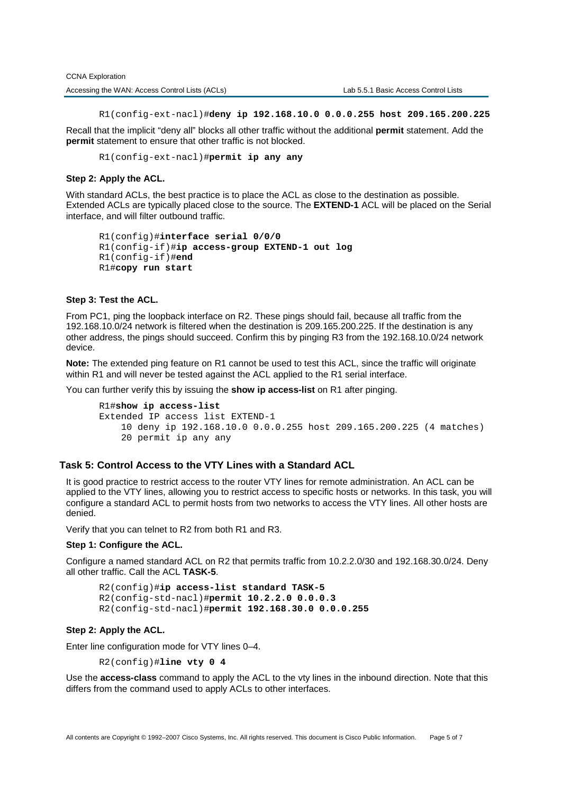CCNA Exploration Accessing the WAN: Access Control Lists (ACLs) Lab 5.5.1 Basic Access Control Lists

R1(config-ext-nacl)#**deny ip 192.168.10.0 0.0.0.255 host 209.165.200.225** 

Recall that the implicit "deny all" blocks all other traffic without the additional **permit** statement. Add the **permit** statement to ensure that other traffic is not blocked.

R1(config-ext-nacl)#**permit ip any any**

# **Step 2: Apply the ACL.**

With standard ACLs, the best practice is to place the ACL as close to the destination as possible. Extended ACLs are typically placed close to the source. The **EXTEND-1** ACL will be placed on the Serial interface, and will filter outbound traffic.

```
R1(config)#interface serial 0/0/0 
R1(config-if)#ip access-group EXTEND-1 out log 
R1(config-if)#end 
R1#copy run start
```
# **Step 3: Test the ACL.**

From PC1, ping the loopback interface on R2. These pings should fail, because all traffic from the 192.168.10.0/24 network is filtered when the destination is 209.165.200.225. If the destination is any other address, the pings should succeed. Confirm this by pinging R3 from the 192.168.10.0/24 network device.

**Note:** The extended ping feature on R1 cannot be used to test this ACL, since the traffic will originate within R1 and will never be tested against the ACL applied to the R1 serial interface.

You can further verify this by issuing the **show ip access-list** on R1 after pinging.

```
R1#show ip access-list
Extended IP access list EXTEND-1 
     10 deny ip 192.168.10.0 0.0.0.255 host 209.165.200.225 (4 matches) 
     20 permit ip any any
```
# **Task 5: Control Access to the VTY Lines with a Standard ACL**

It is good practice to restrict access to the router VTY lines for remote administration. An ACL can be applied to the VTY lines, allowing you to restrict access to specific hosts or networks. In this task, you will configure a standard ACL to permit hosts from two networks to access the VTY lines. All other hosts are denied.

Verify that you can telnet to R2 from both R1 and R3.

#### **Step 1: Configure the ACL.**

Configure a named standard ACL on R2 that permits traffic from 10.2.2.0/30 and 192.168.30.0/24. Deny all other traffic. Call the ACL **TASK-5**.

```
R2(config)#ip access-list standard TASK-5
R2(config-std-nacl)#permit 10.2.2.0 0.0.0.3
R2(config-std-nacl)#permit 192.168.30.0 0.0.0.255
```
## **Step 2: Apply the ACL.**

Enter line configuration mode for VTY lines 0–4.

R2(config)#**line vty 0 4** 

Use the **access-class** command to apply the ACL to the vty lines in the inbound direction. Note that this differs from the command used to apply ACLs to other interfaces.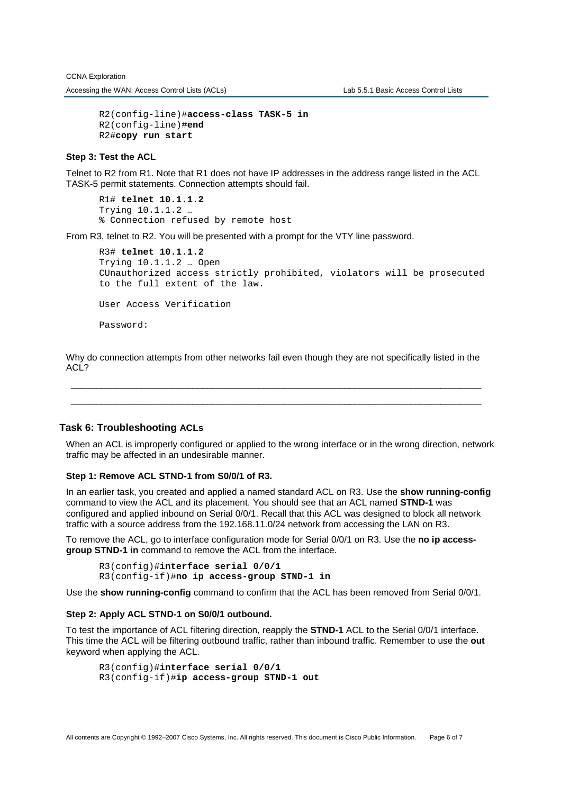R2(config-line)#**access-class TASK-5 in**  R2(config-line)#**end**  R2#**copy run start** 

## **Step 3: Test the ACL**

Telnet to R2 from R1. Note that R1 does not have IP addresses in the address range listed in the ACL TASK-5 permit statements. Connection attempts should fail.

R1# **telnet 10.1.1.2** Trying 10.1.1.2 … % Connection refused by remote host

From R3, telnet to R2. You will be presented with a prompt for the VTY line password.

```
R3# telnet 10.1.1.2
Trying 10.1.1.2 … Open 
CUnauthorized access strictly prohibited, violators will be prosecuted 
to the full extent of the law. 
User Access Verification
```
Password:

Why do connection attempts from other networks fail even though they are not specifically listed in the ACL?

\_\_\_\_\_\_\_\_\_\_\_\_\_\_\_\_\_\_\_\_\_\_\_\_\_\_\_\_\_\_\_\_\_\_\_\_\_\_\_\_\_\_\_\_\_\_\_\_\_\_\_\_\_\_\_\_\_\_\_\_\_\_\_\_\_\_\_\_\_\_\_\_\_\_\_\_\_\_\_\_\_ \_\_\_\_\_\_\_\_\_\_\_\_\_\_\_\_\_\_\_\_\_\_\_\_\_\_\_\_\_\_\_\_\_\_\_\_\_\_\_\_\_\_\_\_\_\_\_\_\_\_\_\_\_\_\_\_\_\_\_\_\_\_\_\_\_\_\_\_\_\_\_\_\_\_\_\_\_\_\_\_\_

#### **Task 6: Troubleshooting ACLs**

When an ACL is improperly configured or applied to the wrong interface or in the wrong direction, network traffic may be affected in an undesirable manner.

#### **Step 1: Remove ACL STND-1 from S0/0/1 of R3.**

In an earlier task, you created and applied a named standard ACL on R3. Use the **show running-config** command to view the ACL and its placement. You should see that an ACL named **STND-1** was configured and applied inbound on Serial 0/0/1. Recall that this ACL was designed to block all network traffic with a source address from the 192.168.11.0/24 network from accessing the LAN on R3.

To remove the ACL, go to interface configuration mode for Serial 0/0/1 on R3. Use the **no ip accessgroup STND-1 in** command to remove the ACL from the interface.

R3(config)#**interface serial 0/0/1** 

R3(config-if)#**no ip access-group STND-1 in** 

Use the **show running-config** command to confirm that the ACL has been removed from Serial 0/0/1.

### **Step 2: Apply ACL STND-1 on S0/0/1 outbound.**

To test the importance of ACL filtering direction, reapply the **STND-1** ACL to the Serial 0/0/1 interface. This time the ACL will be filtering outbound traffic, rather than inbound traffic. Remember to use the **out** keyword when applying the ACL.

R3(config)#**interface serial 0/0/1**  R3(config-if)#**ip access-group STND-1 out**